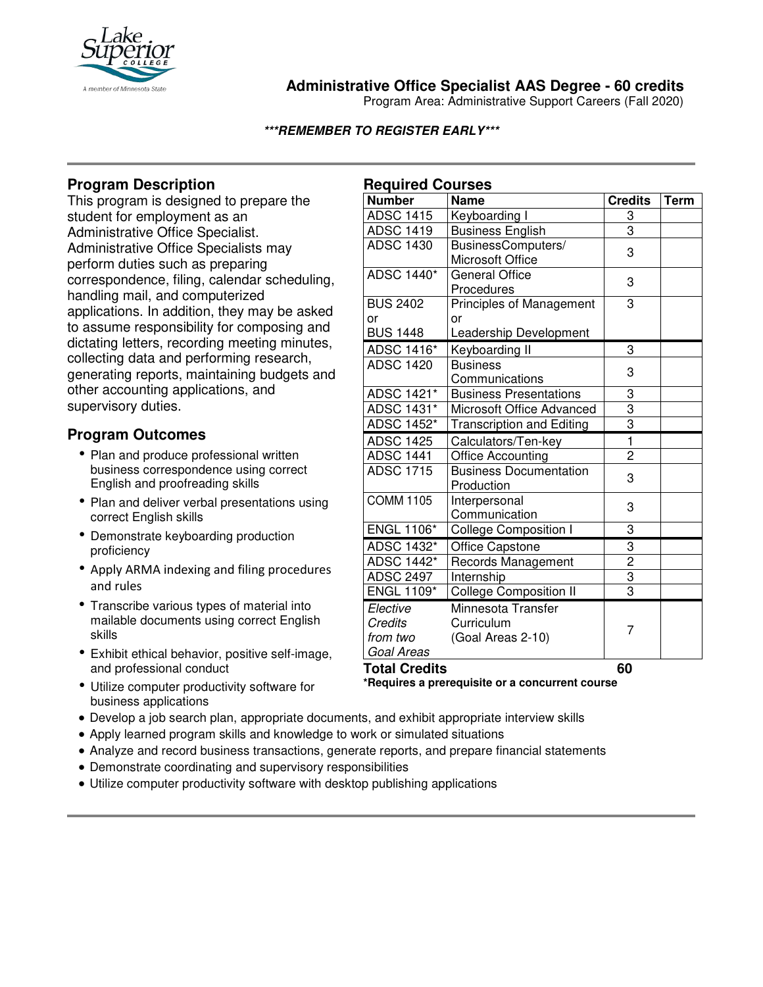

## **Administrative Office Specialist AAS Degree - 60 credits**

Program Area: Administrative Support Careers (Fall 2020)

#### **\*\*\*REMEMBER TO REGISTER EARLY\*\*\***

## **Program Description**

This program is designed to prepare the student for employment as an Administrative Office Specialist. Administrative Office Specialists may perform duties such as preparing correspondence, filing, calendar scheduling, handling mail, and computerized applications. In addition, they may be asked to assume responsibility for composing and dictating letters, recording meeting minutes, collecting data and performing research, generating reports, maintaining budgets and other accounting applications, and supervisory duties.

# **Program Outcomes**

- Plan and produce professional written business correspondence using correct English and proofreading skills
- Plan and deliver verbal presentations using correct English skills
- Demonstrate keyboarding production proficiency
- Apply ARMA indexing and filing procedures and rules
- Transcribe various types of material into mailable documents using correct English skills
- Exhibit ethical behavior, positive self-image, and professional conduct
- Utilize computer productivity software for business applications
- Develop a job search plan, appropriate documents, and exhibit appropriate interview skills
- Apply learned program skills and knowledge to work or simulated situations
- Analyze and record business transactions, generate reports, and prepare financial statements
- Demonstrate coordinating and supervisory responsibilities
- Utilize computer productivity software with desktop publishing applications

| <b>Required Courses</b> |                                  |                             |             |
|-------------------------|----------------------------------|-----------------------------|-------------|
| <b>Number</b>           | <b>Name</b>                      | <b>Credits</b>              | <b>Term</b> |
| <b>ADSC 1415</b>        | Keyboarding I                    | 3                           |             |
| <b>ADSC 1419</b>        | <b>Business English</b>          | 3                           |             |
| <b>ADSC 1430</b>        | BusinessComputers/               | 3                           |             |
|                         | <b>Microsoft Office</b>          |                             |             |
| <b>ADSC 1440*</b>       | <b>General Office</b>            | 3                           |             |
|                         | Procedures                       |                             |             |
| <b>BUS 2402</b>         | <b>Principles of Management</b>  | 3                           |             |
| or                      | or                               |                             |             |
| <b>BUS 1448</b>         | Leadership Development           |                             |             |
| ADSC 1416*              | Keyboarding II                   | 3                           |             |
| <b>ADSC 1420</b>        | <b>Business</b>                  | 3                           |             |
|                         | Communications                   |                             |             |
| ADSC 1421*              | <b>Business Presentations</b>    | 3                           |             |
| <b>ADSC 1431*</b>       | Microsoft Office Advanced        | 3                           |             |
| ADSC 1452*              | <b>Transcription and Editing</b> | $\overline{3}$              |             |
| <b>ADSC 1425</b>        | Calculators/Ten-key              | $\overline{1}$              |             |
| <b>ADSC 1441</b>        | <b>Office Accounting</b>         | $\overline{2}$              |             |
| <b>ADSC 1715</b>        | <b>Business Documentation</b>    | 3                           |             |
|                         | Production                       |                             |             |
| <b>COMM 1105</b>        | Interpersonal                    | 3                           |             |
|                         | Communication                    |                             |             |
| <b>ENGL 1106*</b>       | <b>College Composition I</b>     | 3                           |             |
| ADSC 1432*              | Office Capstone                  |                             |             |
| ADSC 1442*              | Records Management               | $\frac{3}{2}$ $\frac{3}{3}$ |             |
| <b>ADSC 2497</b>        | Internship                       |                             |             |
| <b>ENGL 1109*</b>       | <b>College Composition II</b>    |                             |             |
| Elective                | Minnesota Transfer               |                             |             |
| Credits                 | Curriculum                       | 7                           |             |
| from two                | (Goal Areas 2-10)                |                             |             |
| Goal Areas              |                                  |                             |             |
| <b>Total Credits</b>    |                                  | 60                          |             |

**\*Requires a prerequisite or a concurrent course**